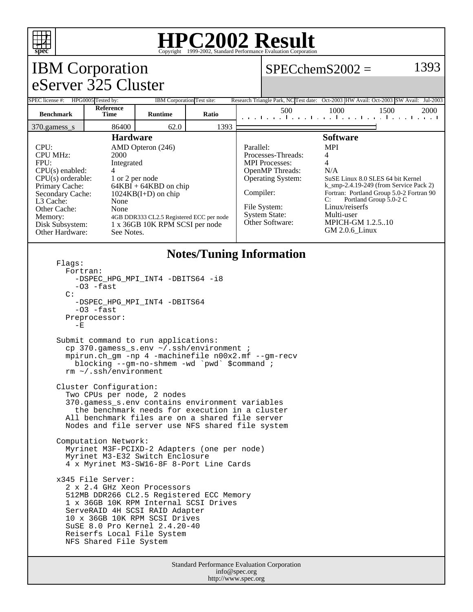

# **HPC2002 Result**

## IBM Corporation eServer 325 Cluster

### $SPECchemS2002 = 1393$

| SPEC license #:                                                                                                                                                                                                                                                                                                                                                                                                                            | HPG0005 Tested by:       | IBM Corporation Test site: |                        |                                                                                                                                                       |                 |                                                                                                                                                                                                                                                                           | Research Triangle Park, NC Test date: Oct-2003 HW Avail: Oct-2003 SW Avail: Jul-2003 |      |  |      |  |
|--------------------------------------------------------------------------------------------------------------------------------------------------------------------------------------------------------------------------------------------------------------------------------------------------------------------------------------------------------------------------------------------------------------------------------------------|--------------------------|----------------------------|------------------------|-------------------------------------------------------------------------------------------------------------------------------------------------------|-----------------|---------------------------------------------------------------------------------------------------------------------------------------------------------------------------------------------------------------------------------------------------------------------------|--------------------------------------------------------------------------------------|------|--|------|--|
| <b>Benchmark</b>                                                                                                                                                                                                                                                                                                                                                                                                                           | <b>Reference</b><br>Time | <b>Runtime</b>             | Ratio                  |                                                                                                                                                       | 500             |                                                                                                                                                                                                                                                                           | 1000<br>and the collection of a collection of a collection of the coll               | 1500 |  | 2000 |  |
| $370$ .gamess s                                                                                                                                                                                                                                                                                                                                                                                                                            | 86400                    | 62.0                       | 1393                   |                                                                                                                                                       |                 |                                                                                                                                                                                                                                                                           |                                                                                      |      |  |      |  |
| <b>Hardware</b>                                                                                                                                                                                                                                                                                                                                                                                                                            |                          |                            |                        |                                                                                                                                                       | <b>Software</b> |                                                                                                                                                                                                                                                                           |                                                                                      |      |  |      |  |
| CPU:<br>AMD Opteron (246)<br><b>CPU MHz:</b><br>2000<br>FPII:<br>Integrated<br>$CPU(s)$ enabled:<br>$CPU(s)$ orderable:<br>1 or 2 per node<br>Primary Cache:<br>$64KBI + 64KBD$ on chip<br>Secondary Cache:<br>$1024KB(I+D)$ on chip<br>L <sub>3</sub> Cache:<br>None<br>Other Cache:<br>None<br>Memory:<br>4GB DDR333 CL2.5 Registered ECC per node<br>1 x 36GB 10K RPM SCSI per node<br>Disk Subsystem:<br>Other Hardware:<br>See Notes. |                          |                            | Parallel:<br>Compiler: | Processes-Threads:<br><b>MPI</b> Processes:<br><b>OpenMP</b> Threads:<br>Operating System:<br>File System:<br><b>System State:</b><br>Other Software: |                 | <b>MPI</b><br>4<br>4<br>N/A<br>SuSE Linux 8.0 SLES 64 bit Kernel<br>$k$ _smp-2.4.19-249 (from Service Pack 2)<br>Fortran: Portland Group 5.0-2 Fortran 90<br>Portland Group 5.0-2 C<br>C:<br>Linux/reiserfs<br>Multi-user<br><b>MPICH-GM 1.2.5.10</b><br>$GM$ 2.0.6 Linux |                                                                                      |      |  |      |  |

#### **Notes/Tuning Information**

 Flags: Fortran: -DSPEC\_HPG\_MPI\_INT4 -DBITS64 -i8  $-03$  -fast C: -DSPEC\_HPG\_MPI\_INT4 -DBITS64 -O3 -fast Preprocessor:  $-E$  Submit command to run applications: cp 370.gamess\_s.env ~/.ssh/environment ; mpirun.ch\_gm -np 4 -machinefile n00x2.mf --gm-recv blocking --gm-no-shmem -wd `pwd` \$command ; rm ~/.ssh/environment Cluster Configuration: Two CPUs per node, 2 nodes 370.gamess\_s.env contains environment variables the benchmark needs for execution in a cluster All benchmark files are on a shared file server Nodes and file server use NFS shared file system Computation Network: Myrinet M3F-PCIXD-2 Adapters (one per node) Myrinet M3-E32 Switch Enclosure 4 x Myrinet M3-SW16-8F 8-Port Line Cards x345 File Server: 2 x 2.4 GHz Xeon Processors 512MB DDR266 CL2.5 Registered ECC Memory 1 x 36GB 10K RPM Internal SCSI Drives ServeRAID 4H SCSI RAID Adapter 10 x 36GB 10K RPM SCSI Drives SuSE 8.0 Pro Kernel 2.4.20-40 Reiserfs Local File System NFS Shared File System

> Standard Performance Evaluation Corporation info@spec.org http://www.spec.org